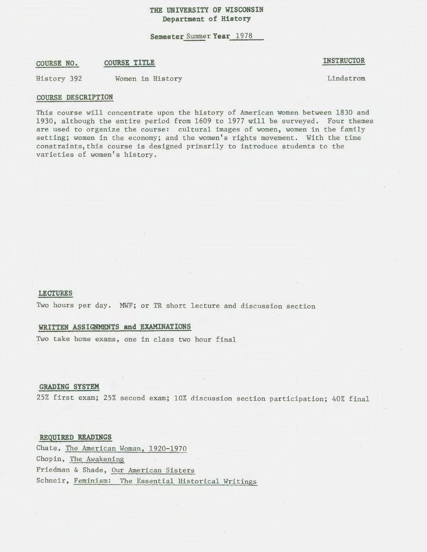# **THE UNIVERSITY OF WISCONSIN Department of History**

**Semester** Summer **Year** 1978

## **COURSE NO. COURSE TITLE**

**INSTRUCTOR** 

History 392 Women in History

Lindstrom

#### **COURSE DESCRIPTION**

This course will concentrate upon the history of American women between 1830 and 1930, although the entire period from 1609 to 1977 will be surveyed. Four themes are used to organize the course: cultural images of women, women in the family setting; women in the economy; and the women's rights movement. With the time constraints, this course is designed primarily to introduce students to the varieties of women's history.

#### **LECTURES**

Two hours per day. MWF; or TR short lecture and discussion section

### **WRITTEN ASSIGNMENTS and EXAMINATIONS**

Two take home exams, one in class two hour final

## **GRADING SYSTEM**

25% first exam; 25% second exam; 10% discussion section participation; 40% final

**REQUIRED READINGS** 

Chate, The American Woman, 1920-1970 Chopin, The Awakening Friedman & Shade, Our American Sisters Schneir, Feminism: The Essential Historical Writings